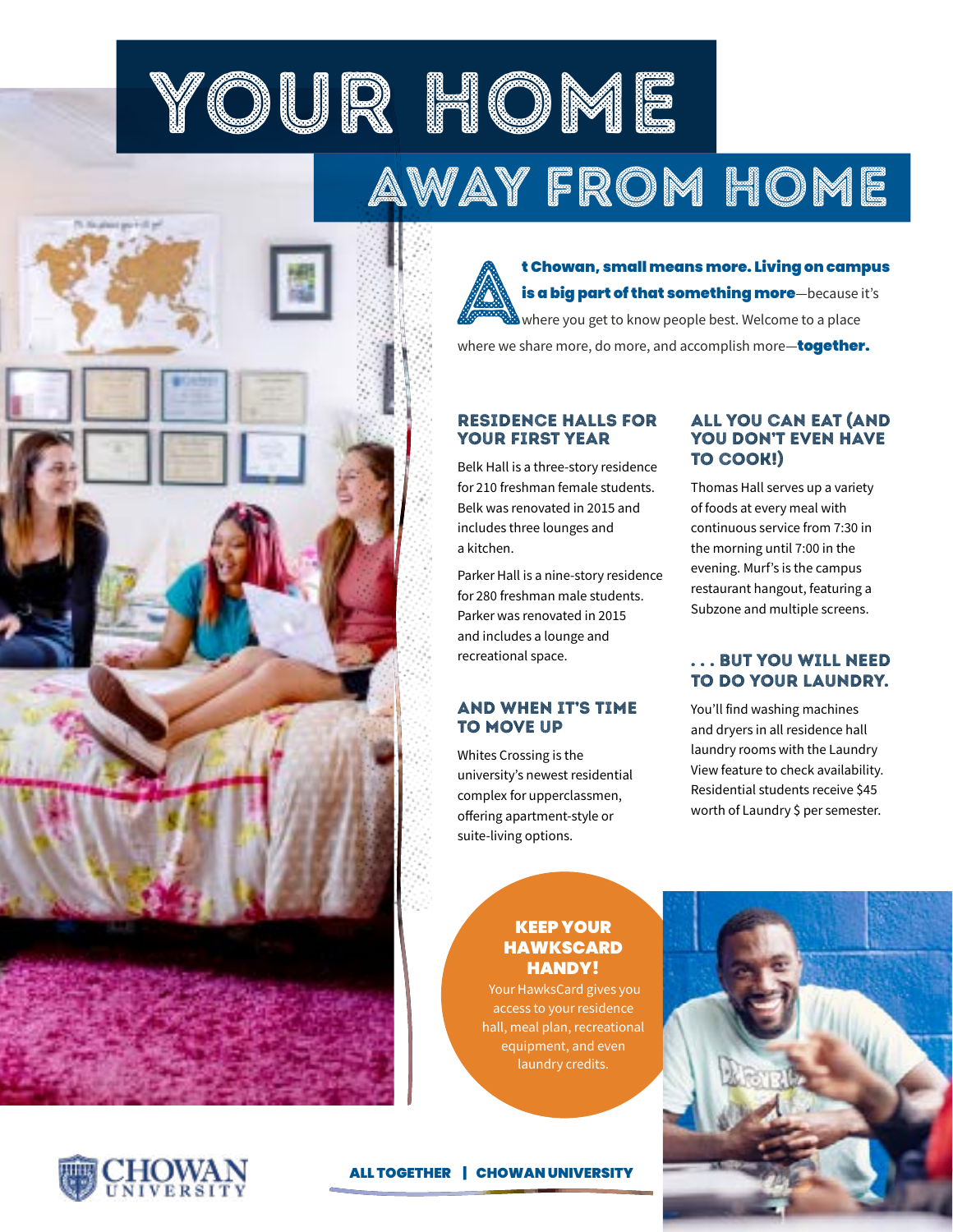YOUR HOME AWAY FROM HOME

> **t Chowan, small means more. Living on campus<br>is a big part of that something more**—because it's<br>where you get to know people best. Welcome to a place<br>where we share more, do more, and accomplish more, **together is a big part of that something more**—because it's where you get to know people best. Welcome to a place where we share more, do more, and accomplish more-together.

## RESIDENCE HALLS FOR YOUR FIRST YEAR

Belk Hall is a three-story residence for 210 freshman female students. Belk was renovated in 2015 and includes three lounges and a kitchen.

Parker Hall is a nine-story residence for 280 freshman male students. Parker was renovated in 2015 and includes a lounge and recreational space.

## AND WHEN IT'S TIME TO MOVE UP

Whites Crossing is the university's newest residential complex for upperclassmen, offering apartment-style or suite-living options.

## ALL YOU CAN EAT (AND YOU DON'T EVEN HAVE TO COOK!)

Thomas Hall serves up a variety of foods at every meal with continuous service from 7:30 in the morning until 7:00 in the evening. Murf's is the campus restaurant hangout, featuring a Subzone and multiple screens.

## . . . BUT YOU WILL NEED TO DO YOUR LAUNDRY.

You'll find washing machines and dryers in all residence hall laundry rooms with the Laundry View feature to check availability. Residential students receive \$45 worth of Laundry \$ per semester.

## KEEP YOUR HAWKSCARD HANDY!

Your HawksCard gives you access to your residence hall, meal plan, recreational equipment, and even laundry credits.

## ALL TOGETHER | CHOWAN UNIVERSITY